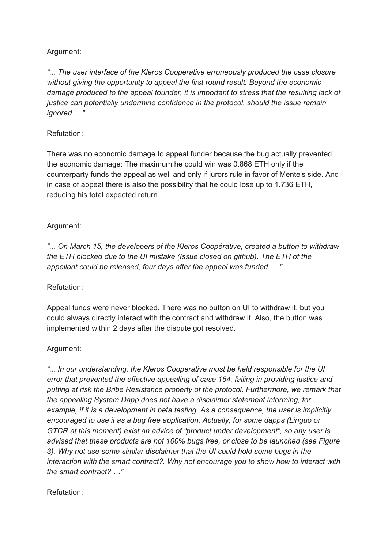# Argument:

*"... The user interface of the Kleros Cooperative erroneously produced the case closure without giving the opportunity to appeal the first round result. Beyond the economic damage produced to the appeal founder, it is important to stress that the resulting lack of justice can potentially undermine confidence in the protocol, should the issue remain ignored. ..."*

# Refutation:

There was no economic damage to appeal funder because the bug actually prevented the economic damage: The maximum he could win was 0.868 ETH only if the counterparty funds the appeal as well and only if jurors rule in favor of Mente's side. And in case of appeal there is also the possibility that he could lose up to 1.736 ETH, reducing his total expected return.

## Argument:

*"... On March 15, the developers of the Kleros Coopérative, created a button to withdraw the ETH blocked due to the UI mistake (Issue closed on github). The ETH of the appellant could be released, four days after the appeal was funded. …"*

## Refutation:

Appeal funds were never blocked. There was no button on UI to withdraw it, but you could always directly interact with the contract and withdraw it. Also, the button was implemented within 2 days after the dispute got resolved.

## Argument:

*"... In our understanding, the Kleros Cooperative must be held responsible for the UI error that prevented the effective appealing of case 164, failing in providing justice and putting at risk the Bribe Resistance property of the protocol. Furthermore, we remark that the appealing System Dapp does not have a disclaimer statement informing, for example, if it is a development in beta testing. As a consequence, the user is implicitly encouraged to use it as a bug free application. Actually, for some dapps (Linguo or GTCR at this moment) exist an advice of "product under development", so any user is advised that these products are not 100% bugs free, or close to be launched (see Figure 3). Why not use some similar disclaimer that the UI could hold some bugs in the interaction with the smart contract?. Why not encourage you to show how to interact with the smart contract? …"*

## Refutation: